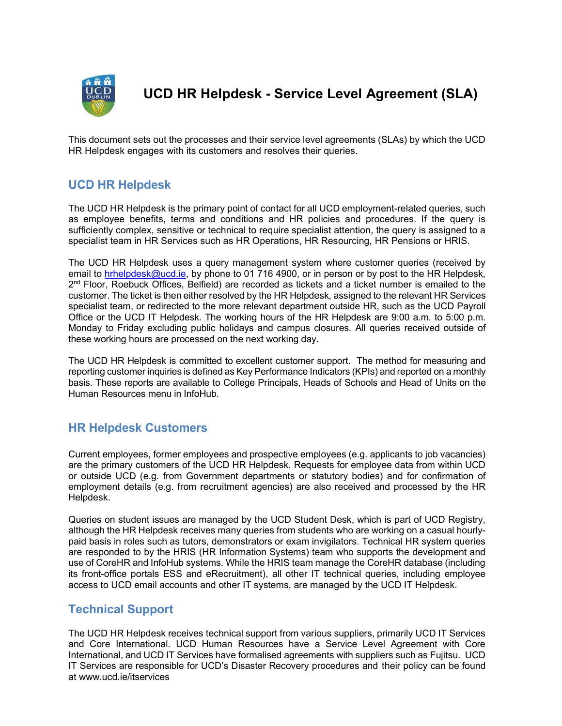

UCD HR Helpdesk - Service Level Agreement (SLA)

This document sets out the processes and their service level agreements (SLAs) by which the UCD HR Helpdesk engages with its customers and resolves their queries.

## UCD HR Helpdesk

The UCD HR Helpdesk is the primary point of contact for all UCD employment-related queries, such as employee benefits, terms and conditions and HR policies and procedures. If the query is sufficiently complex, sensitive or technical to require specialist attention, the query is assigned to a specialist team in HR Services such as HR Operations, HR Resourcing, HR Pensions or HRIS.

The UCD HR Helpdesk uses a query management system where customer queries (received by email to hrhelpdesk@ucd.ie, by phone to 01 716 4900, or in person or by post to the HR Helpdesk, 2<sup>nd</sup> Floor, Roebuck Offices, Belfield) are recorded as tickets and a ticket number is emailed to the customer. The ticket is then either resolved by the HR Helpdesk, assigned to the relevant HR Services specialist team, or redirected to the more relevant department outside HR, such as the UCD Payroll Office or the UCD IT Helpdesk. The working hours of the HR Helpdesk are 9:00 a.m. to 5:00 p.m. Monday to Friday excluding public holidays and campus closures. All queries received outside of these working hours are processed on the next working day.

The UCD HR Helpdesk is committed to excellent customer support. The method for measuring and reporting customer inquiries is defined as Key Performance Indicators (KPIs) and reported on a monthly basis. These reports are available to College Principals, Heads of Schools and Head of Units on the Human Resources menu in InfoHub.

## HR Helpdesk Customers

Current employees, former employees and prospective employees (e.g. applicants to job vacancies) are the primary customers of the UCD HR Helpdesk. Requests for employee data from within UCD or outside UCD (e.g. from Government departments or statutory bodies) and for confirmation of employment details (e.g. from recruitment agencies) are also received and processed by the HR Helpdesk.

Queries on student issues are managed by the UCD Student Desk, which is part of UCD Registry, although the HR Helpdesk receives many queries from students who are working on a casual hourlypaid basis in roles such as tutors, demonstrators or exam invigilators. Technical HR system queries are responded to by the HRIS (HR Information Systems) team who supports the development and use of CoreHR and InfoHub systems. While the HRIS team manage the CoreHR database (including its front-office portals ESS and eRecruitment), all other IT technical queries, including employee access to UCD email accounts and other IT systems, are managed by the UCD IT Helpdesk.

## Technical Support

The UCD HR Helpdesk receives technical support from various suppliers, primarily UCD IT Services and Core International. UCD Human Resources have a Service Level Agreement with Core International, and UCD IT Services have formalised agreements with suppliers such as Fujitsu. UCD IT Services are responsible for UCD's Disaster Recovery procedures and their policy can be found at www.ucd.ie/itservices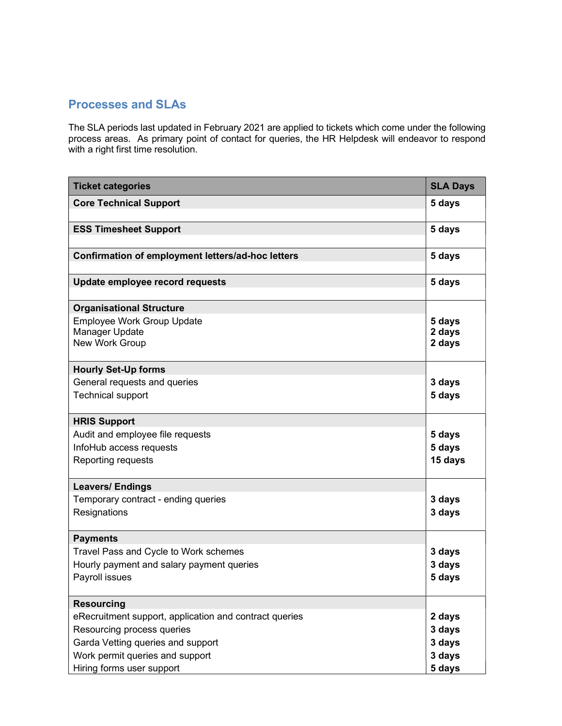## Processes and SLAs

The SLA periods last updated in February 2021 are applied to tickets which come under the following process areas. As primary point of contact for queries, the HR Helpdesk will endeavor to respond with a right first time resolution.

| <b>Ticket categories</b>                                              | <b>SLA Days</b>            |
|-----------------------------------------------------------------------|----------------------------|
| <b>Core Technical Support</b>                                         | 5 days                     |
| <b>ESS Timesheet Support</b>                                          | 5 days                     |
| Confirmation of employment letters/ad-hoc letters                     | 5 days                     |
| Update employee record requests                                       | 5 days                     |
| <b>Organisational Structure</b>                                       |                            |
| <b>Employee Work Group Update</b><br>Manager Update<br>New Work Group | 5 days<br>2 days<br>2 days |
| <b>Hourly Set-Up forms</b>                                            |                            |
| General requests and queries<br><b>Technical support</b>              | 3 days<br>5 days           |
| <b>HRIS Support</b>                                                   |                            |
| Audit and employee file requests                                      | 5 days                     |
| InfoHub access requests                                               | 5 days                     |
| Reporting requests                                                    | 15 days                    |
| <b>Leavers/ Endings</b>                                               |                            |
| Temporary contract - ending queries                                   | 3 days                     |
| Resignations                                                          | 3 days                     |
| <b>Payments</b>                                                       |                            |
| Travel Pass and Cycle to Work schemes                                 | 3 days                     |
| Hourly payment and salary payment queries                             | 3 days                     |
| Payroll issues                                                        | 5 days                     |
| <b>Resourcing</b>                                                     |                            |
| eRecruitment support, application and contract queries                | 2 days                     |
| Resourcing process queries                                            | 3 days                     |
| Garda Vetting queries and support                                     | 3 days                     |
| Work permit queries and support                                       | 3 days                     |
| Hiring forms user support                                             | 5 days                     |